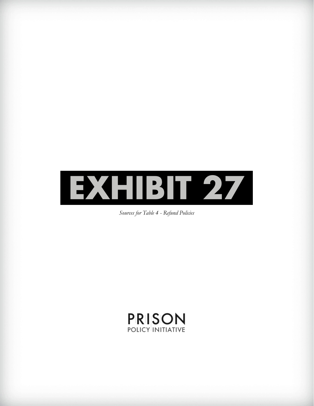

*Sources for Table 4 - Refund Policies*

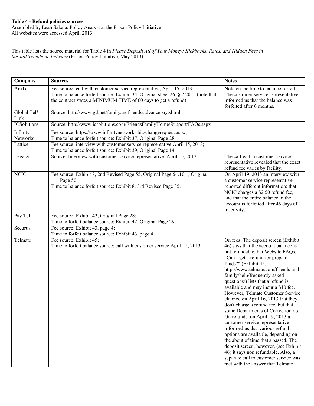## **Table 4 - Refund policies sources**

Assembled by Leah Sakala, Policy Analyst at the Prison Policy Initiative All websites were accessed April, 2013

This table lists the source material for Table 4 in *Please Deposit All of Your Money: Kickbacks, Rates, and Hidden Fees in the Jail Telephone Industry* (Prison Policy Initiative, May 2013).

| Company              | <b>Sources</b>                                                                                                                                                                                                                  | <b>Notes</b>                                                                                                                                                                                                                                                                                                                                                                                                                                                                                                                                                                                                                                                                                                                                                                                                                                    |
|----------------------|---------------------------------------------------------------------------------------------------------------------------------------------------------------------------------------------------------------------------------|-------------------------------------------------------------------------------------------------------------------------------------------------------------------------------------------------------------------------------------------------------------------------------------------------------------------------------------------------------------------------------------------------------------------------------------------------------------------------------------------------------------------------------------------------------------------------------------------------------------------------------------------------------------------------------------------------------------------------------------------------------------------------------------------------------------------------------------------------|
| AmTel                | Fee source: call with customer service representative, April 15, 2013;<br>Time to balance forfeit source: Exhibit 34, Original sheet 26, § 2.20.1. (note that<br>the contract states a MINIMUM TIME of 60 days to get a refund) | Note on the time to balance forfeit:<br>The customer service representative<br>informed us that the balance was<br>forfeited after 6 months.                                                                                                                                                                                                                                                                                                                                                                                                                                                                                                                                                                                                                                                                                                    |
| Global Tel*<br>Link  | Source: http://www.gtl.net/familyandfriends/advancepay.shtml                                                                                                                                                                    |                                                                                                                                                                                                                                                                                                                                                                                                                                                                                                                                                                                                                                                                                                                                                                                                                                                 |
| <b>ICSolutions</b>   | Source: http://www.icsolutions.com/FriendsFamilyHome/Support/FAQs.aspx                                                                                                                                                          |                                                                                                                                                                                                                                                                                                                                                                                                                                                                                                                                                                                                                                                                                                                                                                                                                                                 |
| Infinity<br>Networks | Fee source: https://www.infinitynetworks.biz/changerequest.aspx;<br>Time to balance forfeit source: Exhibit 37, Original Page 28                                                                                                |                                                                                                                                                                                                                                                                                                                                                                                                                                                                                                                                                                                                                                                                                                                                                                                                                                                 |
| Lattice              | Fee source: interview with customer service representative April 15, 2013;<br>Time to balance forfeit source: Exhibit 39, Original Page 14                                                                                      |                                                                                                                                                                                                                                                                                                                                                                                                                                                                                                                                                                                                                                                                                                                                                                                                                                                 |
| Legacy               | Source: Interview with customer service representative, April 15, 2013.                                                                                                                                                         | The call with a customer service<br>representative revealed that the exact<br>refund fee varies by facility.                                                                                                                                                                                                                                                                                                                                                                                                                                                                                                                                                                                                                                                                                                                                    |
| <b>NCIC</b>          | Fee source: Exhibit 8, 2nd Revised Page 55, Original Page 54.10.1, Original<br>Page 50;<br>Time to balance forfeit source: Exhibit 8, 3rd Revised Page 35.                                                                      | On April 19, 2013 an interview with<br>a customer service representative<br>reported different information: that<br>NCIC charges a \$2.50 refund fee,<br>and that the entire balance in the<br>account is forfeited after 45 days of<br>inactivity.                                                                                                                                                                                                                                                                                                                                                                                                                                                                                                                                                                                             |
| Pay Tel              | Fee source: Exhibit 42, Original Page 28;<br>Time to forfeit balance source: Exhibit 42, Original Page 29                                                                                                                       |                                                                                                                                                                                                                                                                                                                                                                                                                                                                                                                                                                                                                                                                                                                                                                                                                                                 |
| Securus              | Fee source: Exhibit 43, page 4;<br>Time to forfeit balance source: Exhibit 43, page 4                                                                                                                                           |                                                                                                                                                                                                                                                                                                                                                                                                                                                                                                                                                                                                                                                                                                                                                                                                                                                 |
| Telmate              | Fee source: Exhibit 45;<br>Time to forfeit balance source: call with customer service April 15, 2013.                                                                                                                           | On fees: The deposit screen (Exhibit<br>46) says that the account balance is<br>not refundable, but Website FAQs,<br>"Can I get a refund for prepaid<br>funds?" (Exhibit 45,<br>http://www.telmate.com/friends-and-<br>family/help/frequently-asked-<br>questions/) lists that a refund is<br>available and may incur a \$10 fee.<br>However, Telmate Customer Service<br>claimed on April 16, 2013 that they<br>don't charge a refund fee, but that<br>some Departments of Correction do.<br>On refunds: on April 19, 2013 a<br>customer service representative<br>informed us that various refund<br>options are available, depending on<br>the about of time that's passed. The<br>deposit screen, however, (see Exhibit<br>46) it says non refundable. Also, a<br>separate call to customer service was<br>met with the answer that Telmate |